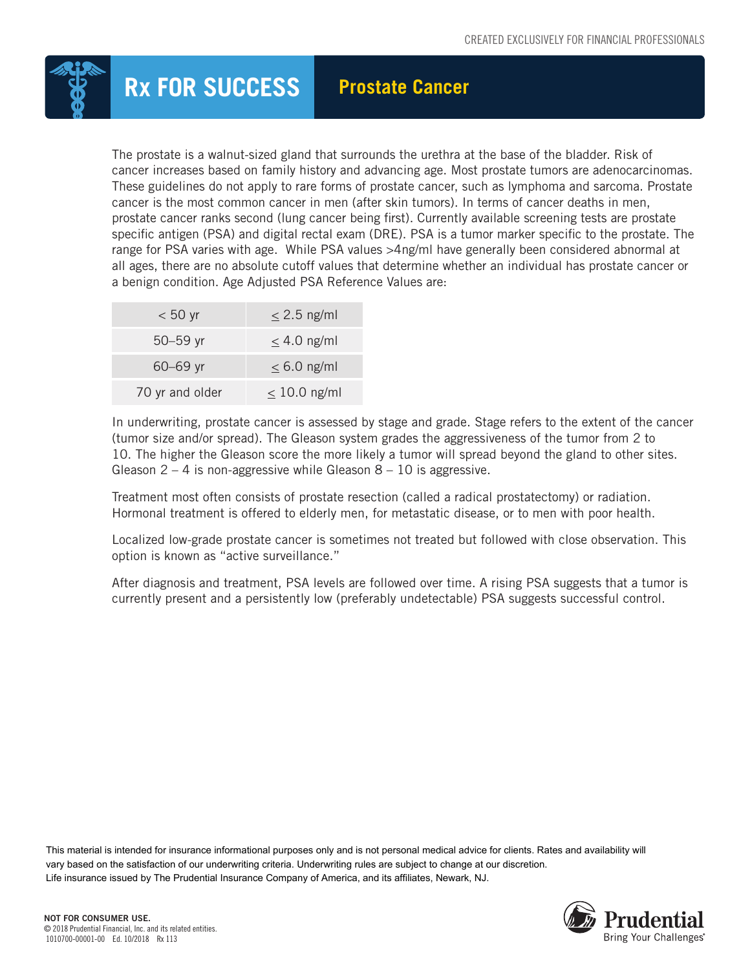

The prostate is a walnut-sized gland that surrounds the urethra at the base of the bladder. Risk of cancer increases based on family history and advancing age. Most prostate tumors are adenocarcinomas. These guidelines do not apply to rare forms of prostate cancer, such as lymphoma and sarcoma. Prostate cancer is the most common cancer in men (after skin tumors). In terms of cancer deaths in men, prostate cancer ranks second (lung cancer being first). Currently available screening tests are prostate specific antigen (PSA) and digital rectal exam (DRE). PSA is a tumor marker specific to the prostate. The range for PSA varies with age. While PSA values >4ng/ml have generally been considered abnormal at all ages, there are no absolute cutoff values that determine whether an individual has prostate cancer or a benign condition. Age Adjusted PSA Reference Values are:

| $< 50$ yr       | $\leq$ 2.5 ng/ml  |
|-----------------|-------------------|
| $50 - 59$ yr    | $\leq$ 4.0 ng/ml  |
| $60 - 69$ yr    | $\leq 6.0$ ng/ml  |
| 70 yr and older | $\leq$ 10.0 ng/ml |

In underwriting, prostate cancer is assessed by stage and grade. Stage refers to the extent of the cancer (tumor size and/or spread). The Gleason system grades the aggressiveness of the tumor from 2 to 10. The higher the Gleason score the more likely a tumor will spread beyond the gland to other sites. Gleason  $2 - 4$  is non-aggressive while Gleason  $8 - 10$  is aggressive.

Treatment most often consists of prostate resection (called a radical prostatectomy) or radiation. Hormonal treatment is offered to elderly men, for metastatic disease, or to men with poor health.

Localized low-grade prostate cancer is sometimes not treated but followed with close observation. This option is known as "active surveillance."

After diagnosis and treatment, PSA levels are followed over time. A rising PSA suggests that a tumor is currently present and a persistently low (preferably undetectable) PSA suggests successful control.

This material is intended for insurance informational purposes only and is not personal medical advice for clients. Rates and availability will vary based on the satisfaction of our underwriting criteria. Underwriting rules are subject to change at our discretion. Life insurance issued by The Prudential Insurance Company of America, and its affiliates, Newark, NJ.

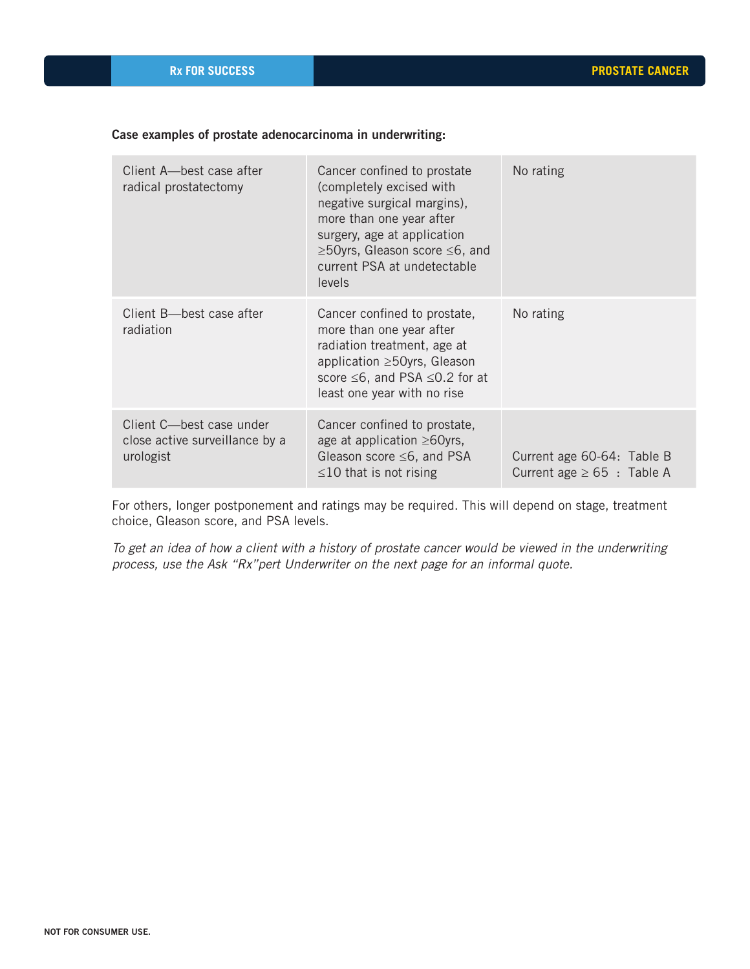## Case examples of prostate adenocarcinoma in underwriting:

| Client A-best case after<br>radical prostatectomy                       | Cancer confined to prostate<br>(completely excised with<br>negative surgical margins),<br>more than one year after<br>surgery, age at application<br>≥50yrs, Gleason score ≤6, and<br>current PSA at undetectable<br>levels | No rating                                                     |
|-------------------------------------------------------------------------|-----------------------------------------------------------------------------------------------------------------------------------------------------------------------------------------------------------------------------|---------------------------------------------------------------|
| Client B-best case after<br>radiation                                   | Cancer confined to prostate,<br>more than one year after<br>radiation treatment, age at<br>application ≥50yrs, Gleason<br>score $\leq 6$ , and PSA $\leq 0.2$ for at<br>least one year with no rise                         | No rating                                                     |
| Client C-best case under<br>close active surveillance by a<br>urologist | Cancer confined to prostate,<br>age at application $\geq 60$ yrs,<br>Gleason score $\leq 6$ , and PSA<br>$\leq$ 10 that is not rising                                                                                       | Current age 60-64: Table B<br>Current age $\geq 65$ : Table A |

For others, longer postponement and ratings may be required. This will depend on stage, treatment choice, Gleason score, and PSA levels.

*To get an idea of how a client with a history of prostate cancer would be viewed in the underwriting process, use the Ask "Rx"pert Underwriter on the next page for an informal quote.*